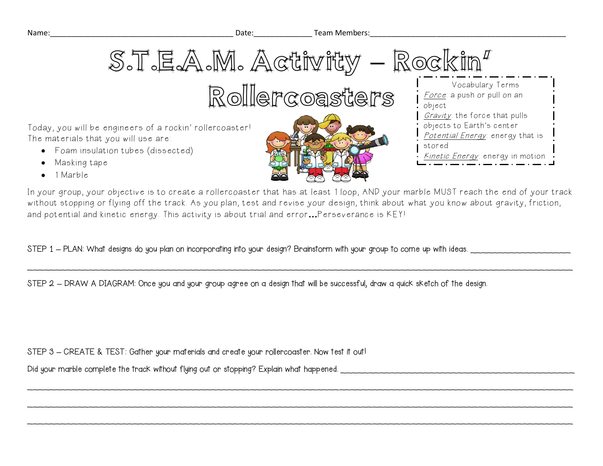

Today, you will be engineers of a rockin' rollercoaster! The materials that you will use are:

- Foam insulation tubes (dissected)
- Masking tape
- 1 Marble



In your group, your objective is to create a rollercoaster that has at least 1 loop, AND your marble MUST reach the end of your track without stopping or flying off the track. As you plan, test and revise your design, think about what you know about gravity, friction, and potential and kinetic energy. This activity is about trial and error**…**Perseverance is KEY!

 $\bar{a}$  , and the contribution of the contribution of the contribution of the contribution of the contribution of the contribution of the contribution of the contribution of the contribution of the contribution of the con

 $\sim$  . The contribution of the contribution of the contribution of the contribution of the contribution of the contribution of the contribution of the contribution of the contribution of the contribution of the contributi

 $\bar{a}$  , and the contribution of the contribution of the contribution of the contribution of the contribution of the contribution of the contribution of the contribution of the contribution of the contribution of the con

 $\bar{a}$  , and the contribution of the contribution of the contribution of the contribution of the contribution of the contribution of the contribution of the contribution of the contribution of the contribution of the con

STEP 1 – PLAN: What designs do you plan on incorporating into your design? Brainstorm with your group to come up with ideas.

STEP 2 **–** DRAW A DIAGRAM: Once you and your group agree on a design that will be successful, draw a quick sketch of the design.

STEP 3 **–** CREATE & TEST: Gather your materials and create your rollercoaster. Now test it out!

Did your marble complete the track without flying out or stopping? Explain what happened. \_\_\_\_\_\_\_\_\_\_\_\_\_\_\_\_\_\_\_\_\_\_\_\_\_\_\_\_\_\_\_\_\_\_\_\_\_\_\_\_\_\_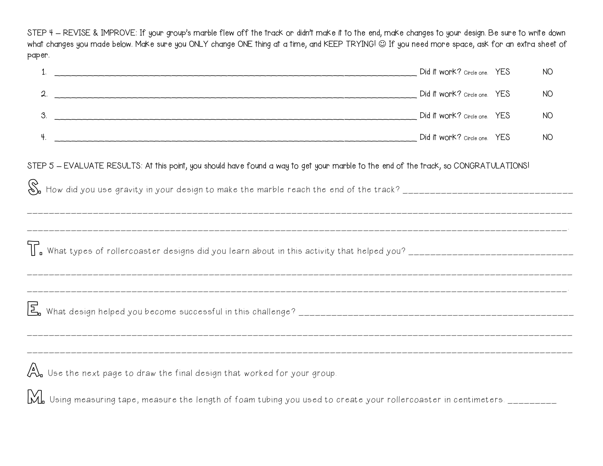STEP 4 **–** REVISE & IMPROVE: If your group's marble flew off the track or didn't make it to the end, make changes to your design. Be sure to write down what changes you made below. Make sure you ONLY change ONE thing at a time, and KEEP TRYING! If you need more space, ask for an extra sheet of paper.

| 1.                                                                                                                                                                                                                                         | Did it work? Circle one. YES |  | <b>NO</b> |
|--------------------------------------------------------------------------------------------------------------------------------------------------------------------------------------------------------------------------------------------|------------------------------|--|-----------|
| 2.                                                                                                                                                                                                                                         |                              |  | <b>NO</b> |
| 3.<br>Did it work? Circle one. YES                                                                                                                                                                                                         |                              |  | <b>NO</b> |
| 4.                                                                                                                                                                                                                                         |                              |  | <b>NO</b> |
| STEP 5 - EVALUATE RESULTS: At this point, you should have found a way to get your marble to the end of the track, so CONGRATULATIONS!                                                                                                      |                              |  |           |
|                                                                                                                                                                                                                                            |                              |  |           |
|                                                                                                                                                                                                                                            |                              |  |           |
| $\overbrace{D_{\mathbf{u}}}^{\Delta}$ Use the next page to draw the final design that worked for your group.<br>M. Using measuring tape, measure the length of foam tubing you used to create your rollercoaster in centimeters. _________ |                              |  |           |